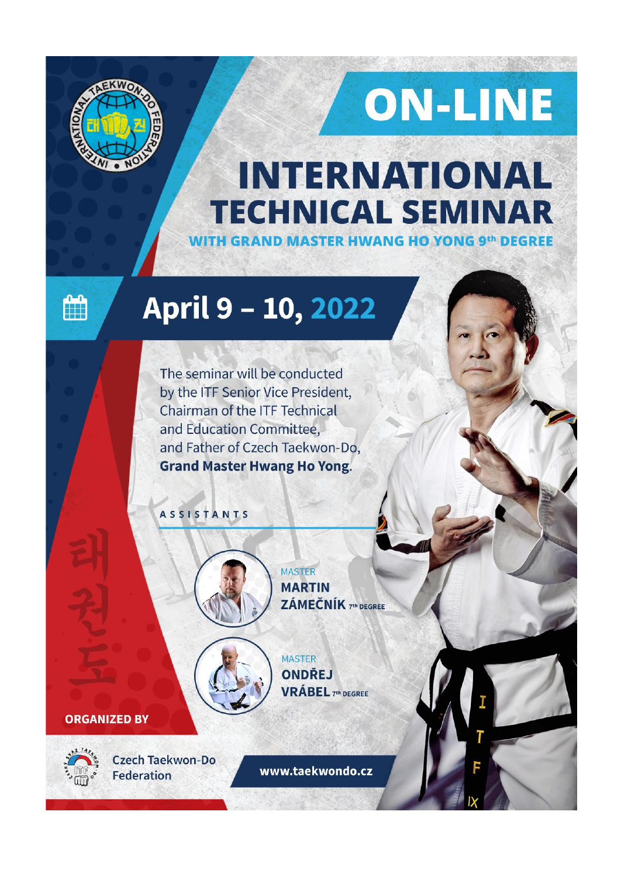

# ON-LINE

### **INTERNATIONAL TECHNICAL SEMINAR WITH GRAND MASTER HWANG HO YONG 9th DEGREE**

曲

## April 9 - 10, 2022

The seminar will be conducted by the ITF Senior Vice President, Chairman of the ITF Technical and Education Committee. and Father of Czech Taekwon-Do, **Grand Master Hwang Ho Yong.** 

**ASSISTANTS** 



MASTER **MARTIN** ZÁMEČNÍK 7th DEGREE



**MASTER ONDŘEJ VRÁBEL 7th DEGREE** 

#### **ORGANIZED BY**



Czech Taekwon-Do **Federation** 

www.taekwondo.cz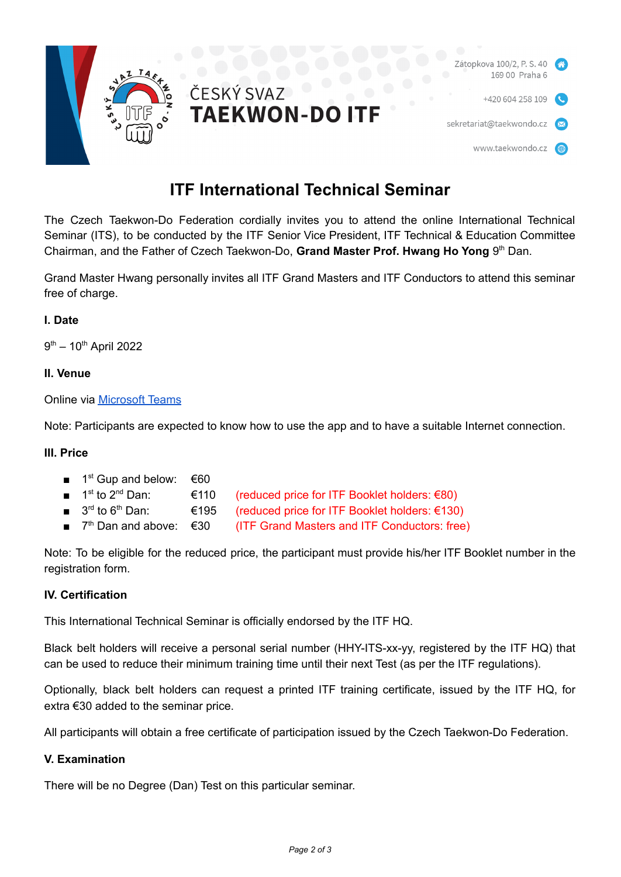



### **ITF International Technical Seminar**

The Czech Taekwon-Do Federation cordially invites you to attend the online International Technical Seminar (ITS), to be conducted by the ITF Senior Vice President, ITF Technical & Education Committee Chairman, and the Father of Czech Taekwon-Do, **Grand Master Prof. Hwang Ho Yong** 9 th Dan.

Grand Master Hwang personally invites all ITF Grand Masters and ITF Conductors to attend this seminar free of charge.

#### **I. Date**

9<sup>th</sup> – 10<sup>th</sup> April 2022

#### **II. Venue**

Online via [Microsoft](https://www.microsoft.com/microsoft-teams/) Teams

Note: Participants are expected to know how to use the app and to have a suitable Internet connection.

#### **III. Price**

- $\blacksquare$  1<sup>st</sup> Gup and below:  $\epsilon$ 60
- $\blacksquare$  1<sup>st</sup> to 2<sup>n</sup>  $€110$  (reduced price for ITF Booklet holders:  $€80$ )
- $\blacksquare$  3<sup>rd</sup> to 6<sup>t</sup>  $€195$  (reduced price for ITF Booklet holders:  $€130$ )
- $7<sup>th</sup>$  Dan and above:  $\epsilon$ 30 (ITF Grand Masters and ITF Conductors: free)

Note: To be eligible for the reduced price, the participant must provide his/her ITF Booklet number in the registration form.

#### **IV. Certification**

This International Technical Seminar is officially endorsed by the ITF HQ.

Black belt holders will receive a personal serial number (HHY-ITS-xx-yy, registered by the ITF HQ) that can be used to reduce their minimum training time until their next Test (as per the ITF regulations).

Optionally, black belt holders can request a printed ITF training certificate, issued by the ITF HQ, for extra €30 added to the seminar price.

All participants will obtain a free certificate of participation issued by the Czech Taekwon-Do Federation.

#### **V. Examination**

There will be no Degree (Dan) Test on this particular seminar.